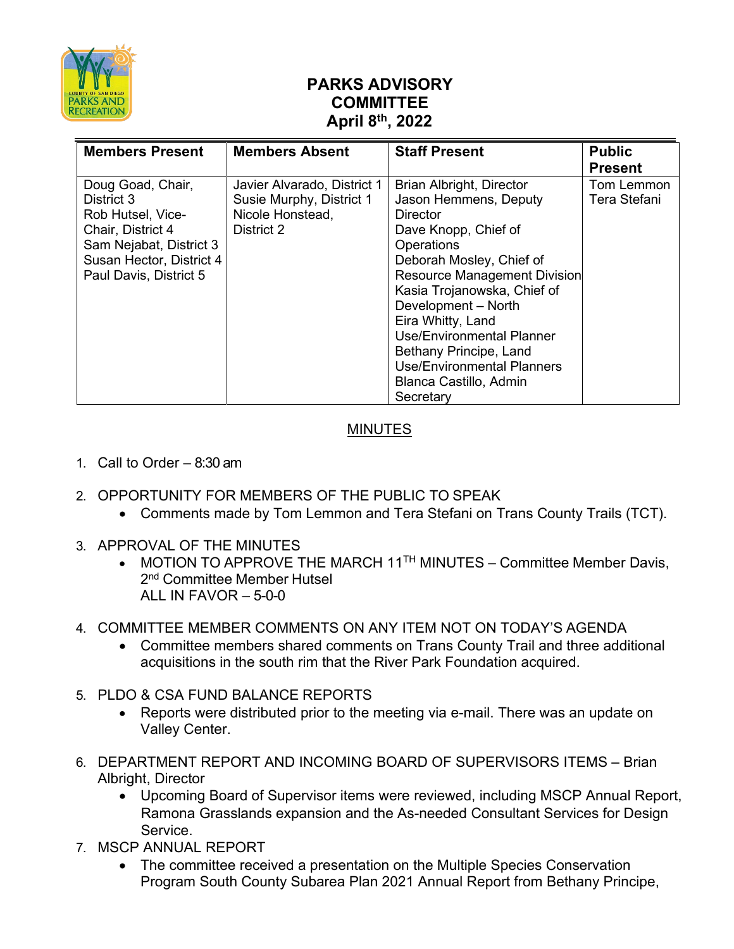

## **PARKS ADVISORY COMMITTEE April 8th, 2022**

| <b>Members Present</b>   | <b>Members Absent</b>       | <b>Staff Present</b>                | <b>Public</b>  |
|--------------------------|-----------------------------|-------------------------------------|----------------|
|                          |                             |                                     | <b>Present</b> |
| Doug Goad, Chair,        | Javier Alvarado, District 1 | Brian Albright, Director            | Tom Lemmon     |
| District 3               | Susie Murphy, District 1    | Jason Hemmens, Deputy               | Tera Stefani   |
| Rob Hutsel, Vice-        | Nicole Honstead,            | <b>Director</b>                     |                |
| Chair, District 4        | District 2                  | Dave Knopp, Chief of                |                |
| Sam Nejabat, District 3  |                             | Operations                          |                |
| Susan Hector, District 4 |                             | Deborah Mosley, Chief of            |                |
| Paul Davis, District 5   |                             | <b>Resource Management Division</b> |                |
|                          |                             | Kasia Trojanowska, Chief of         |                |
|                          |                             | Development - North                 |                |
|                          |                             | Eira Whitty, Land                   |                |
|                          |                             | <b>Use/Environmental Planner</b>    |                |
|                          |                             | Bethany Principe, Land              |                |
|                          |                             | <b>Use/Environmental Planners</b>   |                |
|                          |                             | Blanca Castillo, Admin              |                |
|                          |                             | Secretary                           |                |

## MINUTES

- 1. Call to Order 8:30 am
- 2. OPPORTUNITY FOR MEMBERS OF THE PUBLIC TO SPEAK
	- Comments made by Tom Lemmon and Tera Stefani on Trans County Trails (TCT).
- 3. APPROVAL OF THE MINUTES
	- MOTION TO APPROVE THE MARCH  $11<sup>TH</sup>$  MINUTES Committee Member Davis, 2<sup>nd</sup> Committee Member Hutsel ALL IN FAVOR – 5-0-0
- 4. COMMITTEE MEMBER COMMENTS ON ANY ITEM NOT ON TODAY'S AGENDA
	- Committee members shared comments on Trans County Trail and three additional acquisitions in the south rim that the River Park Foundation acquired.
- 5. PLDO & CSA FUND BALANCE REPORTS
	- Reports were distributed prior to the meeting via e-mail. There was an update on Valley Center.
- 6. DEPARTMENT REPORT AND INCOMING BOARD OF SUPERVISORS ITEMS Brian Albright, Director
	- Upcoming Board of Supervisor items were reviewed, including MSCP Annual Report, Ramona Grasslands expansion and the As-needed Consultant Services for Design Service.
- 7. MSCP ANNUAL REPORT
	- The committee received a presentation on the Multiple Species Conservation Program South County Subarea Plan 2021 Annual Report from Bethany Principe,